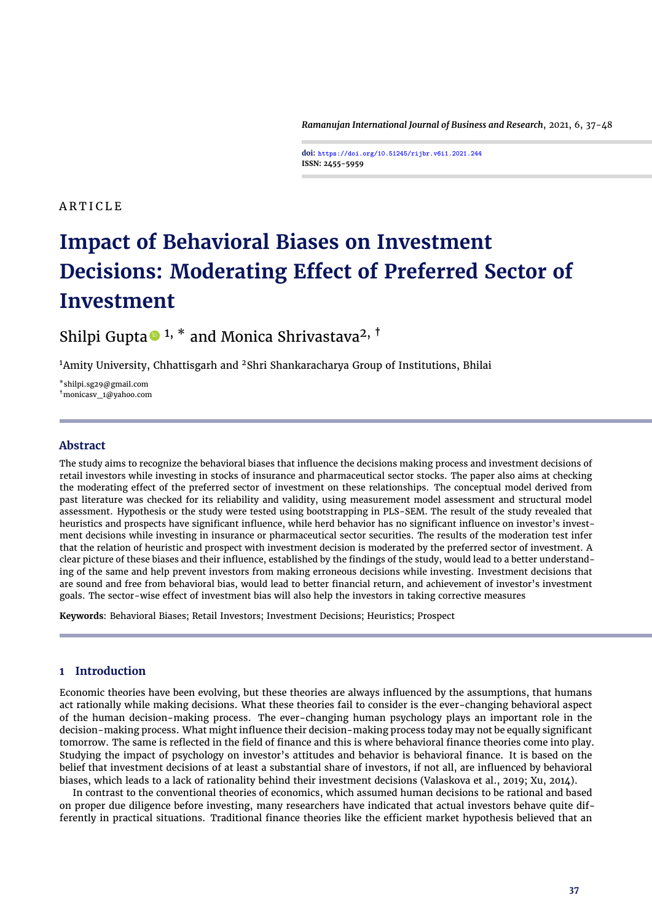*Ramanujan International Journal of Business and Research*, 2021, 6, 37[-48](#page-11-0)

**doi: https://doi.org/10.51245/rijbr.v6i1.2021.244 ISSN: 2455-5959**

# **ARTICLE**

# **Impact of Behavioral Biases on Investment Decisions: Moderating Effect of Preferred Sector of Investment**

Shilpi Gupta $\bullet$ <sup>1, \*</sup> and Monica Shrivastava<sup>2, †</sup>

<sup>1</sup>Amity University, Chhattisgarh and <sup>2</sup>Shri Shankaracharya Group of Institutions, Bhilai

\*shilpi.sg29@gmail.com †monicasv\_1@yahoo.com

## **Abstract**

The study aims to recognize the behavioral biases that influence the decisions making process and investment decisions of retail investors while investing in stocks of insurance and pharmaceutical sector stocks. The paper also aims at checking the moderating effect of the preferred sector of investment on these relationships. The conceptual model derived from past literature was checked for its reliability and validity, using measurement model assessment and structural model assessment. Hypothesis or the study were tested using bootstrapping in PLS-SEM. The result of the study revealed that heuristics and prospects have significant influence, while herd behavior has no significant influence on investor's investment decisions while investing in insurance or pharmaceutical sector securities. The results of the moderation test infer that the relation of heuristic and prospect with investment decision is moderated by the preferred sector of investment. A clear picture of these biases and their influence, established by the findings of the study, would lead to a better understanding of the same and help prevent investors from making erroneous decisions while investing. Investment decisions that are sound and free from behavioral bias, would lead to better financial return, and achievement of investor's investment goals. The sector-wise effect of investment bias will also help the investors in taking corrective measures

**Keywords**: Behavioral Biases; Retail Investors; Investment Decisions; Heuristics; Prospect

# **1 Introduction**

Economic theories have been evolving, but these theories are always influenced by the assumptions, that humans act rationally while making decisions. What these theories fail to consider is the ever-changing behavioral aspect of the human decision-making process. The ever-changing human psychology plays an important role in the decision-making process. What might influence their decision-making process today may not be equally significant tomorrow. The same is reflected in the field of finance and this is where behavioral finance theories come into play. Studying the impact of psychology on investor's attitudes and behavior is behavioral finance. It is based on the belief that investment decisions of at least a substantial share of investors, if not all, are influenced by behavioral biases, which leads to a lack of rationality behind their investment decisions [\(Valaskova et al.,](#page-11-1) [2019;](#page-11-1) [Xu,](#page-11-2) [2014\)](#page-11-2).

In contrast to the conventional theories of economics, which assumed human decisions to be rational and based on proper due diligence before investing, many researchers have indicated that actual investors behave quite differently in practical situations. Traditional finance theories like the efficient market hypothesis believed that an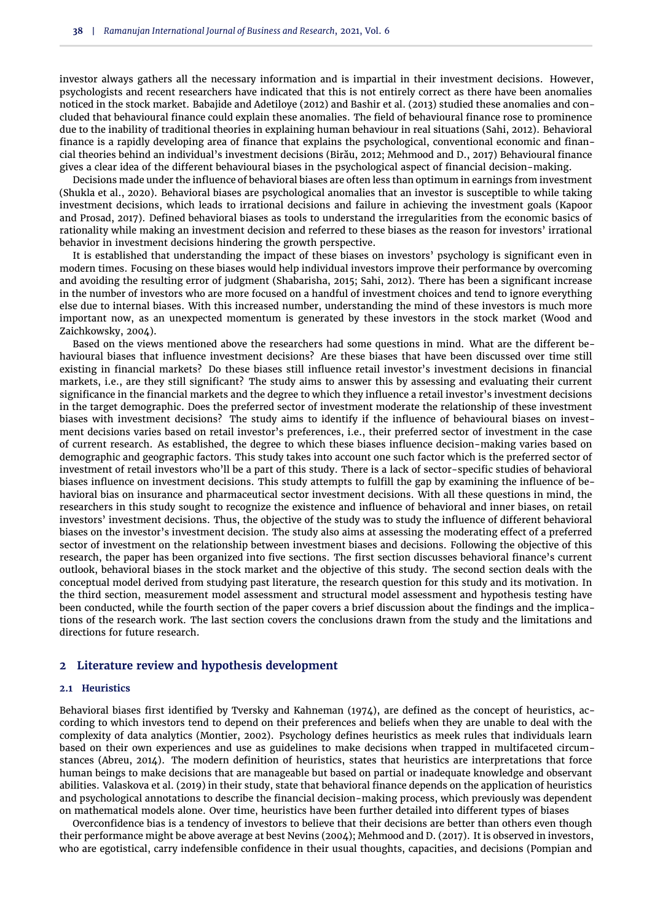investor always gathers all the necessary information and is impartial in their investment decisions. However, psychologists and recent researchers have indicated that this is not entirely correct as there have been anomalies noticed in the stock market. [Babajide and Adetiloye](#page-10-0) [\(2012\)](#page-10-0) and [Bashir et al.](#page-10-1) [\(2013\)](#page-10-1) studied these anomalies and concluded that behavioural finance could explain these anomalies. The field of behavioural finance rose to prominence due to the inability of traditional theories in explaining human behaviour in real situations [\(Sahi,](#page-11-3) [2012\)](#page-11-3). Behavioral finance is a rapidly developing area of finance that explains the psychological, conventional economic and financial theories behind an individual's investment decisions [\(Birău,](#page-10-2) [2012;](#page-10-2) [Mehmood and D.,](#page-11-4) [2017\)](#page-11-4) Behavioural finance gives a clear idea of the different behavioural biases in the psychological aspect of financial decision-making.

Decisions made under the influence of behavioral biases are often less than optimum in earnings from investment [\(Shukla et al.,](#page-11-5) [2020\)](#page-11-5). Behavioral biases are psychological anomalies that an investor is susceptible to while taking investment decisions, which leads to irrational decisions and failure in achieving the investment goals [\(Kapoor](#page-10-3) [and Prosad,](#page-10-3) [2017\)](#page-10-3). Defined behavioral biases as tools to understand the irregularities from the economic basics of rationality while making an investment decision and referred to these biases as the reason for investors' irrational behavior in investment decisions hindering the growth perspective.

It is established that understanding the impact of these biases on investors' psychology is significant even in modern times. Focusing on these biases would help individual investors improve their performance by overcoming and avoiding the resulting error of judgment [\(Shabarisha,](#page-11-6) [2015;](#page-11-6) [Sahi,](#page-11-3) [2012\)](#page-11-3). There has been a significant increase in the number of investors who are more focused on a handful of investment choices and tend to ignore everything else due to internal biases. With this increased number, understanding the mind of these investors is much more important now, as an unexpected momentum is generated by these investors in the stock market [\(Wood and](#page-11-7) [Zaichkowsky,](#page-11-7) [2004\)](#page-11-7).

Based on the views mentioned above the researchers had some questions in mind. What are the different behavioural biases that influence investment decisions? Are these biases that have been discussed over time still existing in financial markets? Do these biases still influence retail investor's investment decisions in financial markets, i.e., are they still significant? The study aims to answer this by assessing and evaluating their current significance in the financial markets and the degree to which they influence a retail investor's investment decisions in the target demographic. Does the preferred sector of investment moderate the relationship of these investment biases with investment decisions? The study aims to identify if the influence of behavioural biases on investment decisions varies based on retail investor's preferences, i.e., their preferred sector of investment in the case of current research. As established, the degree to which these biases influence decision-making varies based on demographic and geographic factors. This study takes into account one such factor which is the preferred sector of investment of retail investors who'll be a part of this study. There is a lack of sector-specific studies of behavioral biases influence on investment decisions. This study attempts to fulfill the gap by examining the influence of behavioral bias on insurance and pharmaceutical sector investment decisions. With all these questions in mind, the researchers in this study sought to recognize the existence and influence of behavioral and inner biases, on retail investors' investment decisions. Thus, the objective of the study was to study the influence of different behavioral biases on the investor's investment decision. The study also aims at assessing the moderating effect of a preferred sector of investment on the relationship between investment biases and decisions. Following the objective of this research, the paper has been organized into five sections. The first section discusses behavioral finance's current outlook, behavioral biases in the stock market and the objective of this study. The second section deals with the conceptual model derived from studying past literature, the research question for this study and its motivation. In the third section, measurement model assessment and structural model assessment and hypothesis testing have been conducted, while the fourth section of the paper covers a brief discussion about the findings and the implications of the research work. The last section covers the conclusions drawn from the study and the limitations and directions for future research.

## **2 Literature review and hypothesis development**

## **2.1 Heuristics**

Behavioral biases first identified by [Tversky and Kahneman](#page-11-8) [\(1974\)](#page-11-8), are defined as the concept of heuristics, according to which investors tend to depend on their preferences and beliefs when they are unable to deal with the complexity of data analytics [\(Montier,](#page-11-9) [2002\)](#page-11-9). Psychology defines heuristics as meek rules that individuals learn based on their own experiences and use as guidelines to make decisions when trapped in multifaceted circumstances [\(Abreu,](#page-10-4) [2014\)](#page-10-4). The modern definition of heuristics, states that heuristics are interpretations that force human beings to make decisions that are manageable but based on partial or inadequate knowledge and observant abilities. [Valaskova et al.](#page-11-1) [\(2019\)](#page-11-1) in their study, state that behavioral finance depends on the application of heuristics and psychological annotations to describe the financial decision-making process, which previously was dependent on mathematical models alone. Over time, heuristics have been further detailed into different types of biases

Overconfidence bias is a tendency of investors to believe that their decisions are better than others even though their performance might be above average at best [Nevins](#page-11-10) [\(2004\)](#page-11-10); [Mehmood and D.](#page-11-4) [\(2017\)](#page-11-4). It is observed in investors, who are egotistical, carry indefensible confidence in their usual thoughts, capacities, and decisions [\(Pompian and](#page-11-11)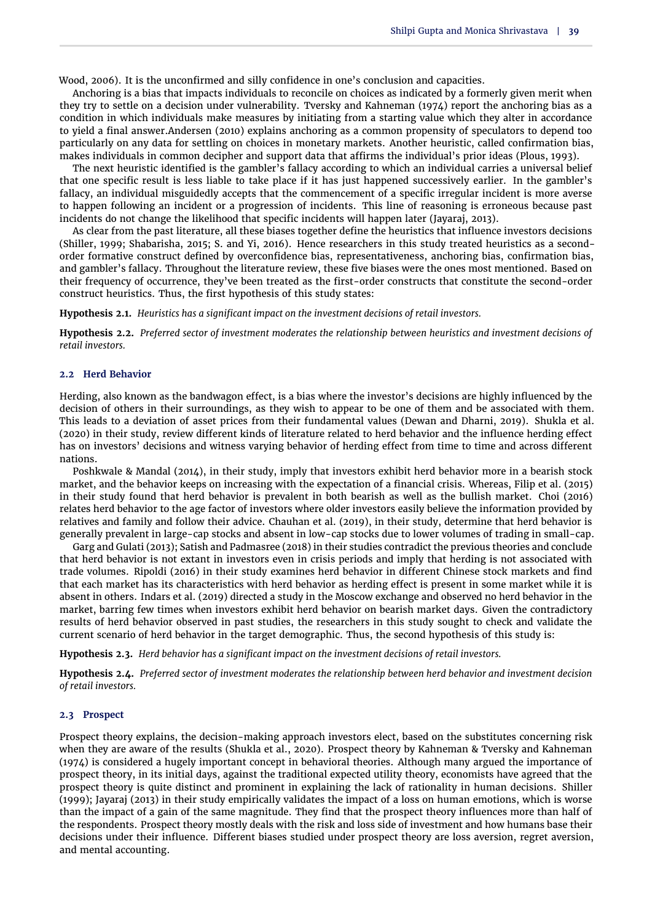[Wood,](#page-11-11) [2006\)](#page-11-11). It is the unconfirmed and silly confidence in one's conclusion and capacities.

Anchoring is a bias that impacts individuals to reconcile on choices as indicated by a formerly given merit when they try to settle on a decision under vulnerability. [Tversky and Kahneman](#page-11-8) [\(1974\)](#page-11-8) report the anchoring bias as a condition in which individuals make measures by initiating from a starting value which they alter in accordance to yield a final answer[.Andersen](#page-10-5) [\(2010\)](#page-10-5) explains anchoring as a common propensity of speculators to depend too particularly on any data for settling on choices in monetary markets. Another heuristic, called confirmation bias, makes individuals in common decipher and support data that affirms the individual's prior ideas [\(Plous,](#page-11-12) [1993\)](#page-11-12).

The next heuristic identified is the gambler's fallacy according to which an individual carries a universal belief that one specific result is less liable to take place if it has just happened successively earlier. In the gambler's fallacy, an individual misguidedly accepts that the commencement of a specific irregular incident is more averse to happen following an incident or a progression of incidents. This line of reasoning is erroneous because past incidents do not change the likelihood that specific incidents will happen later [\(Jayaraj,](#page-10-6) [2013\)](#page-10-6).

As clear from the past literature, all these biases together define the heuristics that influence investors decisions [\(Shiller,](#page-11-13) [1999;](#page-11-13) [Shabarisha,](#page-11-6) [2015;](#page-11-6) [S. and Yi,](#page-11-14) [2016\)](#page-11-14). Hence researchers in this study treated heuristics as a secondorder formative construct defined by overconfidence bias, representativeness, anchoring bias, confirmation bias, and gambler's fallacy. Throughout the literature review, these five biases were the ones most mentioned. Based on their frequency of occurrence, they've been treated as the first-order constructs that constitute the second-order construct heuristics. Thus, the first hypothesis of this study states:

**Hypothesis 2.1.** *Heuristics has a significant impact on the investment decisions of retail investors.*

**Hypothesis 2.2.** *Preferred sector of investment moderates the relationship between heuristics and investment decisions of retail investors.*

#### **2.2 Herd Behavior**

Herding, also known as the bandwagon effect, is a bias where the investor's decisions are highly influenced by the decision of others in their surroundings, as they wish to appear to be one of them and be associated with them. This leads to a deviation of asset prices from their fundamental values [\(Dewan and Dharni,](#page-10-7) [2019\)](#page-10-7). [Shukla et al.](#page-11-5) [\(2020\)](#page-11-5) in their study, review different kinds of literature related to herd behavior and the influence herding effect has on investors' decisions and witness varying behavior of herding effect from time to time and across different nations.

Poshkwale & Mandal (2014), in their study, imply that investors exhibit herd behavior more in a bearish stock market, and the behavior keeps on increasing with the expectation of a financial crisis. Whereas, [Filip et al.](#page-10-8) [\(2015\)](#page-10-8) in their study found that herd behavior is prevalent in both bearish as well as the bullish market. Choi (2016) relates herd behavior to the age factor of investors where older investors easily believe the information provided by relatives and family and follow their advice. [Chauhan et al.](#page-10-9) [\(2019\)](#page-10-9), in their study, determine that herd behavior is generally prevalent in large-cap stocks and absent in low-cap stocks due to lower volumes of trading in small-cap.

[Garg and Gulati](#page-10-10) [\(2013\)](#page-10-10); [Satish and Padmasree](#page-11-15) [\(2018\)](#page-11-15) in their studies contradict the previous theories and conclude that herd behavior is not extant in investors even in crisis periods and imply that herding is not associated with trade volumes. Ripoldi (2016) in their study examines herd behavior in different Chinese stock markets and find that each market has its characteristics with herd behavior as herding effect is present in some market while it is absent in others. [Indars et al.](#page-10-11) [\(2019\)](#page-10-11) directed a study in the Moscow exchange and observed no herd behavior in the market, barring few times when investors exhibit herd behavior on bearish market days. Given the contradictory results of herd behavior observed in past studies, the researchers in this study sought to check and validate the current scenario of herd behavior in the target demographic. Thus, the second hypothesis of this study is:

**Hypothesis 2.3.** *Herd behavior has a significant impact on the investment decisions of retail investors.*

**Hypothesis 2.4.** *Preferred sector of investment moderates the relationship between herd behavior and investment decision of retail investors.*

#### **2.3 Prospect**

Prospect theory explains, the decision-making approach investors elect, based on the substitutes concerning risk when they are aware of the results [\(Shukla et al.,](#page-11-5) [2020\)](#page-11-5). Prospect theory by Kahneman & [Tversky and Kahneman](#page-11-8) [\(1974\)](#page-11-8) is considered a hugely important concept in behavioral theories. Although many argued the importance of prospect theory, in its initial days, against the traditional expected utility theory, economists have agreed that the prospect theory is quite distinct and prominent in explaining the lack of rationality in human decisions. [Shiller](#page-11-13) [\(1999\)](#page-11-13); [Jayaraj](#page-10-6) [\(2013\)](#page-10-6) in their study empirically validates the impact of a loss on human emotions, which is worse than the impact of a gain of the same magnitude. They find that the prospect theory influences more than half of the respondents. Prospect theory mostly deals with the risk and loss side of investment and how humans base their decisions under their influence. Different biases studied under prospect theory are loss aversion, regret aversion, and mental accounting.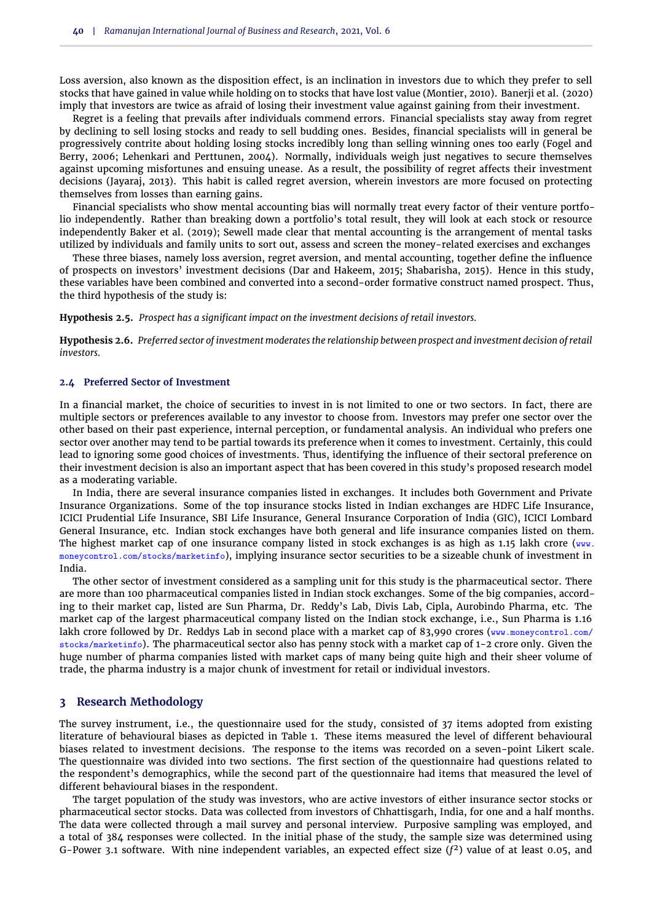Loss aversion, also known as the disposition effect, is an inclination in investors due to which they prefer to sell stocks that have gained in value while holding on to stocks that have lost value [\(Montier,](#page-11-16) [2010\)](#page-11-16). Banerji et al. (2020) imply that investors are twice as afraid of losing their investment value against gaining from their investment.

Regret is a feeling that prevails after individuals commend errors. Financial specialists stay away from regret by declining to sell losing stocks and ready to sell budding ones. Besides, financial specialists will in general be progressively contrite about holding losing stocks incredibly long than selling winning ones too early [\(Fogel and](#page-10-12) [Berry,](#page-10-12) [2006;](#page-10-12) [Lehenkari and Perttunen,](#page-10-13) [2004\)](#page-10-13). Normally, individuals weigh just negatives to secure themselves against upcoming misfortunes and ensuing unease. As a result, the possibility of regret affects their investment decisions [\(Jayaraj,](#page-10-6) [2013\)](#page-10-6). This habit is called regret aversion, wherein investors are more focused on protecting themselves from losses than earning gains.

Financial specialists who show mental accounting bias will normally treat every factor of their venture portfolio independently. Rather than breaking down a portfolio's total result, they will look at each stock or resource independently [Baker et al.](#page-10-14) [\(2019\)](#page-10-14); [Sewell](#page-11-17) made clear that mental accounting is the arrangement of mental tasks utilized by individuals and family units to sort out, assess and screen the money-related exercises and exchanges

These three biases, namely loss aversion, regret aversion, and mental accounting, together define the influence of prospects on investors' investment decisions [\(Dar and Hakeem,](#page-10-15) [2015;](#page-10-15) [Shabarisha,](#page-11-6) [2015\)](#page-11-6). Hence in this study, these variables have been combined and converted into a second-order formative construct named prospect. Thus, the third hypothesis of the study is:

**Hypothesis 2.5.** *Prospect has a significant impact on the investment decisions of retail investors.*

**Hypothesis 2.6.** *Preferred sector of investment moderates the relationship between prospect and investment decision of retail investors.*

#### **2.4 Preferred Sector of Investment**

In a financial market, the choice of securities to invest in is not limited to one or two sectors. In fact, there are multiple sectors or preferences available to any investor to choose from. Investors may prefer one sector over the other based on their past experience, internal perception, or fundamental analysis. An individual who prefers one sector over another may tend to be partial towards its preference when it comes to investment. Certainly, this could lead to ignoring some good choices of investments. Thus, identifying the influence of their sectoral preference on their investment decision is also an important aspect that has been covered in this study's proposed research model as a moderating variable.

In India, there are several insurance companies listed in exchanges. It includes both Government and Private Insurance Organizations. Some of the top insurance stocks listed in Indian exchanges are HDFC Life Insurance, ICICI Prudential Life Insurance, SBI Life Insurance, General Insurance Corporation of India (GIC), ICICI Lombard General Insurance, etc. Indian stock exchanges have both general and life insurance companies listed on them. The highest market cap of one insurance company listed in stock exchanges is as high as 1.15 lakh crore (www. moneycontrol.com/stocks/marketinfo), implying insurance sector securities to be a sizeable chunk of investment in India.

The other sector of investment considered as a sampling unit for this study is the pharmaceutical sector. There are more than 100 pharmaceutical companies listed in Indian stock exchanges. Some of the big companies, according to their market cap, listed are Sun Pharma, Dr. Reddy's Lab, Divis Lab, Cipla, Aurobindo Pharma, etc. The market cap of the largest pharmaceutical company listed on the Indian stock exchange, i.e., Sun Pharma is 1.16 lakh crore followed by Dr. Reddys Lab in second place with a market cap of 83,990 crores (www.moneycontrol.com/ stocks/marketinfo). The pharmaceutical sector also has penny stock with a market cap of 1-2 crore only. Given the huge number of pharma companies listed with market caps of many being quite high and their sheer volume of trade, the pharma industry is a major chunk of investment for retail or individual investors.

## **3 Research Methodology**

The survey instrument, i.e., the questionnaire used for the study, consisted of 37 items adopted from existing literature of behavioural biases as depicted in [Table 1.](#page-4-0) These items measured the level of different behavioural biases related to investment decisions. The response to the items was recorded on a seven-point Likert scale. The questionnaire was divided into two sections. The first section of the questionnaire had questions related to the respondent's demographics, while the second part of the questionnaire had items that measured the level of different behavioural biases in the respondent.

The target population of the study was investors, who are active investors of either insurance sector stocks or pharmaceutical sector stocks. Data was collected from investors of Chhattisgarh, India, for one and a half months. The data were collected through a mail survey and personal interview. Purposive sampling was employed, and a total of 384 responses were collected. In the initial phase of the study, the sample size was determined using G-Power 3.1 software. With nine independent variables, an expected effect size (*f* <sup>2</sup>) value of at least 0.05, and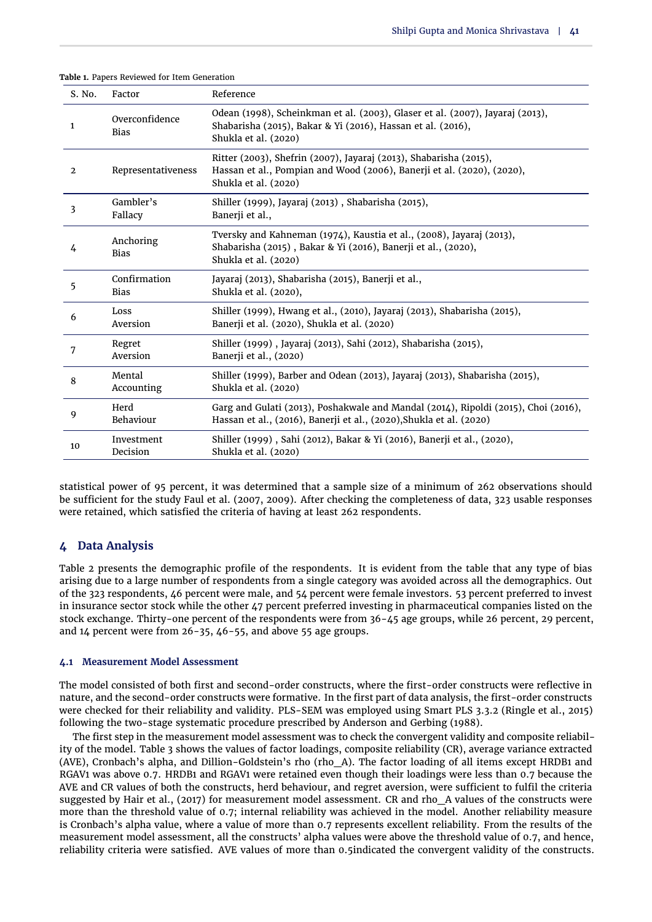| S. No.       | Factor                        | Reference                                                                                                                                                            |
|--------------|-------------------------------|----------------------------------------------------------------------------------------------------------------------------------------------------------------------|
| 1            | Overconfidence<br><b>Bias</b> | Odean (1998), Scheinkman et al. (2003), Glaser et al. (2007), Jayaraj (2013),<br>Shabarisha (2015), Bakar & Yi (2016), Hassan et al. (2016),<br>Shukla et al. (2020) |
| $\mathbf{2}$ | Representativeness            | Ritter (2003), Shefrin (2007), Jayaraj (2013), Shabarisha (2015),<br>Hassan et al., Pompian and Wood (2006), Banerji et al. (2020), (2020),<br>Shukla et al. (2020)  |
| 3            | Gambler's<br>Fallacy          | Shiller (1999), Jayaraj (2013), Shabarisha (2015),<br>Banerji et al.,                                                                                                |
| 4            | Anchoring<br><b>Bias</b>      | Tversky and Kahneman (1974), Kaustia et al., (2008), Jayaraj (2013),<br>Shabarisha (2015), Bakar & Yi (2016), Banerji et al., (2020),<br>Shukla et al. (2020)        |
| 5            | Confirmation<br><b>Bias</b>   | Jayaraj (2013), Shabarisha (2015), Banerji et al.,<br>Shukla et al. (2020),                                                                                          |
| 6            | Loss<br>Aversion              | Shiller (1999), Hwang et al., (2010), Jayaraj (2013), Shabarisha (2015),<br>Banerji et al. (2020), Shukla et al. (2020)                                              |
| 7            | Regret<br>Aversion            | Shiller (1999), Jayaraj (2013), Sahi (2012), Shabarisha (2015),<br>Banerji et al., (2020)                                                                            |
| 8            | Mental<br>Accounting          | Shiller (1999), Barber and Odean (2013), Jayaraj (2013), Shabarisha (2015),<br>Shukla et al. (2020)                                                                  |
| 9            | Herd<br>Behaviour             | Garg and Gulati (2013), Poshakwale and Mandal (2014), Ripoldi (2015), Choi (2016),<br>Hassan et al., (2016), Banerji et al., (2020), Shukla et al. (2020)            |
| 10           | Investment<br>Decision        | Shiller (1999), Sahi (2012), Bakar & Yi (2016), Banerji et al., (2020),<br>Shukla et al. (2020)                                                                      |

<span id="page-4-0"></span>**Table 1.** Papers Reviewed for Item Generation

statistical power of 95 percent, it was determined that a sample size of a minimum of 262 observations should be sufficient for the study [Faul et al.](#page-10-18) [\(2007,](#page-10-18) [2009\)](#page-10-19). After checking the completeness of data, 323 usable responses were retained, which satisfied the criteria of having at least 262 respondents.

# **4 Data Analysis**

[Table 2](#page-5-0) presents the demographic profile of the respondents. It is evident from the table that any type of bias arising due to a large number of respondents from a single category was avoided across all the demographics. Out of the 323 respondents, 46 percent were male, and 54 percent were female investors. 53 percent preferred to invest in insurance sector stock while the other 47 percent preferred investing in pharmaceutical companies listed on the stock exchange. Thirty-one percent of the respondents were from 36-45 age groups, while 26 percent, 29 percent, and  $14$  percent were from  $26-35$ ,  $46-55$ , and above 55 age groups.

#### **4.1 Measurement Model Assessment**

The model consisted of both first and second-order constructs, where the first-order constructs were reflective in nature, and the second-order constructs were formative. In the first part of data analysis, the first-order constructs were checked for their reliability and validity. PLS-SEM was employed using Smart PLS 3.3.2 [\(Ringle et al.,](#page-11-21) [2015\)](#page-11-21) following the two-stage systematic procedure prescribed by [Anderson and Gerbing](#page-10-20) [\(1988\)](#page-10-20).

The first step in the measurement model assessment was to check the convergent validity and composite reliability of the model. [Table 3](#page-6-0) shows the values of factor loadings, composite reliability (CR), average variance extracted (AVE), Cronbach's alpha, and Dillion-Goldstein's rho (rho\_A). The factor loading of all items except HRDB1 and RGAV1 was above 0.7. HRDB1 and RGAV1 were retained even though their loadings were less than 0.7 because the AVE and CR values of both the constructs, herd behaviour, and regret aversion, were sufficient to fulfil the criteria suggested by Hair et al., (2017) for measurement model assessment. CR and rho\_A values of the constructs were more than the threshold value of 0.7; internal reliability was achieved in the model. Another reliability measure is Cronbach's alpha value, where a value of more than 0.7 represents excellent reliability. From the results of the measurement model assessment, all the constructs' alpha values were above the threshold value of 0.7, and hence, reliability criteria were satisfied. AVE values of more than 0.5indicated the convergent validity of the constructs.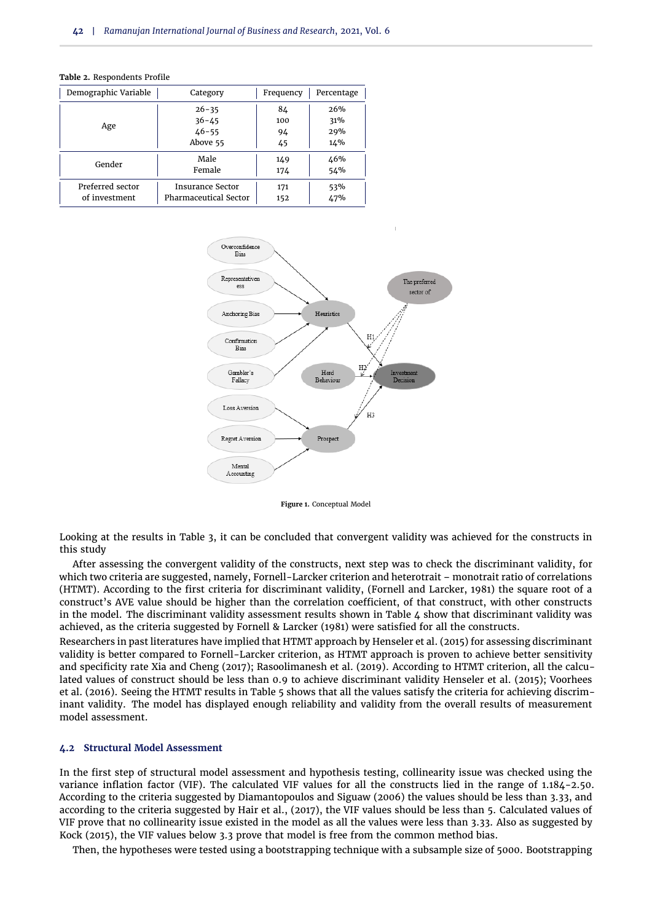| Demographic Variable | Category                     | Frequency | Percentage |
|----------------------|------------------------------|-----------|------------|
|                      | $26 - 35$                    | 84        | 26%        |
| Age                  | $36 - 45$                    | 100       | 31%        |
|                      | $46 - 55$                    | 94        | 29%        |
|                      | Above 55                     | 45        | 14%        |
| Gender               | Male                         | 149       | 46%        |
|                      | Female                       | 174       | 54%        |
| Preferred sector     | <b>Insurance Sector</b>      | 171       | 53%        |
| of investment        | <b>Pharmaceutical Sector</b> | 152       | 47%        |

<span id="page-5-0"></span>

|  |  | <b>Table 2.</b> Respondents Profile |  |
|--|--|-------------------------------------|--|
|--|--|-------------------------------------|--|



**Figure 1.** Conceptual Model

Looking at the results in [Table 3,](#page-6-0) it can be concluded that convergent validity was achieved for the constructs in this study

After assessing the convergent validity of the constructs, next step was to check the discriminant validity, for which two criteria are suggested, namely, Fornell-Larcker criterion and heterotrait – monotrait ratio of correlations (HTMT). According to the first criteria for discriminant validity, [\(Fornell and Larcker,](#page-10-21) [1981\)](#page-10-21) the square root of a construct's AVE value should be higher than the correlation coefficient, of that construct, with other constructs in the model. The discriminant validity assessment results shown in [Table 4](#page-7-0) show that discriminant validity was achieved, as the criteria suggested by Fornell & Larcker (1981) were satisfied for all the constructs.

Researchers in past literatures have implied that HTMT approach by [Henseler et al.](#page-10-22) [\(2015\)](#page-10-22) for assessing discriminant validity is better compared to Fornell-Larcker criterion, as HTMT approach is proven to achieve better sensitivity and specificity rate [Xia and Cheng](#page-11-22) [\(2017\)](#page-11-22); [Rasoolimanesh et al.](#page-11-23) [\(2019\)](#page-11-23). According to HTMT criterion, all the calculated values of construct should be less than 0.9 to achieve discriminant validity [Henseler et al.](#page-10-22) [\(2015\)](#page-10-22); [Voorhees](#page-11-24) [et al.](#page-11-24) [\(2016\)](#page-11-24). Seeing the HTMT results in [Table 5](#page-7-1) shows that all the values satisfy the criteria for achieving discriminant validity. The model has displayed enough reliability and validity from the overall results of measurement model assessment.

## **4.2 Structural Model Assessment**

In the first step of structural model assessment and hypothesis testing, collinearity issue was checked using the variance inflation factor (VIF). The calculated VIF values for all the constructs lied in the range of 1.184-2.50. According to the criteria suggested by [Diamantopoulos and Siguaw](#page-10-23) [\(2006\)](#page-10-23) the values should be less than 3.33, and according to the criteria suggested by Hair et al., (2017), the VIF values should be less than 5. Calculated values of VIF prove that no collinearity issue existed in the model as all the values were less than 3.33. Also as suggested by [Kock](#page-10-24) [\(2015\)](#page-10-24), the VIF values below 3.3 prove that model is free from the common method bias.

Then, the hypotheses were tested using a bootstrapping technique with a subsample size of 5000. Bootstrapping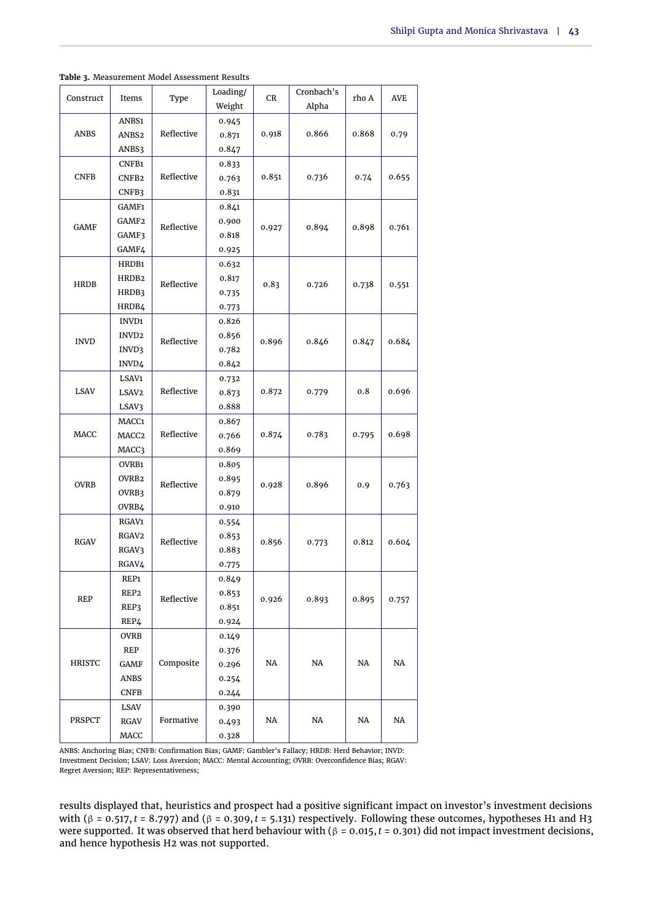<span id="page-6-0"></span>

|  | Table 3. Measurement Model Assessment Results |  |  |  |
|--|-----------------------------------------------|--|--|--|
|--|-----------------------------------------------|--|--|--|

| Construct     | Items             | Type       | Loading/       | CR    | Cronbach's | rho A | <b>AVE</b> |  |
|---------------|-------------------|------------|----------------|-------|------------|-------|------------|--|
|               |                   |            | Weight         |       | Alpha      |       |            |  |
|               | ANBS1             |            | 0.945          |       |            |       |            |  |
| ANBS          | ANBS <sub>2</sub> | Reflective | 0.871          | 0.918 | 0.866      | 0.868 | 0.79       |  |
|               | ANBS3             |            | 0.847          |       |            |       |            |  |
|               | CNFB1             |            | 0.833          |       |            |       |            |  |
| <b>CNFB</b>   | CNFB <sub>2</sub> | Reflective | 0.763          | 0.851 | 0.736      | 0.74  | 0.655      |  |
|               | CNFB3             |            | 0.831          |       |            |       |            |  |
|               | GAMF1             |            | 0.841          |       |            |       |            |  |
| GAMF          | GAMF2             | Reflective | 0.900          | 0.927 | 0.894      | 0.898 | 0.761      |  |
|               | GAMF3             |            | 0.818          |       |            |       |            |  |
|               | GAMF4             |            | 0.925          |       |            |       |            |  |
|               | HRDB1             |            | 0.632          |       |            |       |            |  |
| HRDB          | HRDB <sub>2</sub> | Reflective | 0.817          | 0.83  | 0.726      | 0.738 | 0.551      |  |
|               | HRDB3             |            | 0.735          |       |            |       |            |  |
|               | HRDB4             |            | 0.773          |       |            |       |            |  |
|               | INVD1             |            | 0.826          |       |            |       |            |  |
| <b>INVD</b>   | INVD <sub>2</sub> | Reflective | 0.856          | 0.896 | 0.846      | 0.847 | 0.684      |  |
|               | INVD3             |            | 0.782          |       |            |       |            |  |
|               | INVD4             |            | 0.842          |       |            |       |            |  |
|               | LSAV1             | Reflective | 0.732          | 0.872 |            | 0.8   | 0.696      |  |
| <b>LSAV</b>   | LSAV2             |            | 0.873          |       | 0.779      |       |            |  |
|               | LSAV3<br>MACC1    |            | 0.888<br>0.867 |       |            |       |            |  |
| MACC          | MACC <sub>2</sub> | Reflective | 0.766          | 0.874 | 0.783      | 0.795 | 0.698      |  |
|               | MACC3             |            | 0.869          |       |            |       |            |  |
|               | OVRB1             |            | 0.805          |       |            |       |            |  |
|               | OVRB <sub>2</sub> |            | 0.895          |       |            | 0.9   |            |  |
| <b>OVRB</b>   | OVRB3             | Reflective | 0.879          | 0.928 | 0.896      |       | 0.763      |  |
|               | OVRB4             |            | 0.910          |       |            |       |            |  |
|               | RGAV <sub>1</sub> |            | 0.554          |       |            |       |            |  |
|               | RGAV <sub>2</sub> |            | 0.853          |       |            |       |            |  |
| <b>RGAV</b>   | RGAV3             | Reflective | 0.883          | 0.856 | 0.773      | 0.812 | 0.604      |  |
|               | RGAV4             |            | 0.775          |       |            |       |            |  |
|               | REP1              |            | 0.849          |       |            |       |            |  |
|               | REP <sub>2</sub>  |            | 0.853          |       |            |       |            |  |
| <b>REP</b>    | REP3              | Reflective | 0.851          | 0.926 | 0.893      | 0.895 | 0.757      |  |
|               | REP4              |            | 0.924          |       |            |       |            |  |
|               | <b>OVRB</b>       |            | 0.149          |       |            |       |            |  |
|               | REP               |            | 0.376          |       |            |       |            |  |
| <b>HRISTC</b> | GAMF              | Composite  | 0.296          | NA    | NA         | NA    | NA         |  |
|               | ANBS              |            | 0.254          |       |            |       |            |  |
|               | <b>CNFB</b>       |            | 0.244          |       |            |       |            |  |
|               | LSAV              |            | 0.390          |       |            |       |            |  |
| PRSPCT        | RGAV              | Formative  | 0.493          | NA    | NA         | NA    | NA         |  |
|               | MACC              |            | 0.328          |       |            |       |            |  |

ANBS: Anchoring Bias; CNFB: Confirmation Bias; GAMF: Gambler's Fallacy; HRDB: Herd Behavior; INVD: Investment Decision; LSAV: Loss Aversion; MACC: Mental Accounting; OVRB: Overconfidence Bias; RGAV: Regret Aversion; REP: Representativeness;

results displayed that, heuristics and prospect had a positive significant impact on investor's investment decisions with (β = 0.517,*t* = 8.797) and (β = 0.309,*t* = 5.131) respectively. Following these outcomes, hypotheses H1 and H3 were supported. It was observed that herd behaviour with (β = 0.015,*t* = 0.301) did not impact investment decisions, and hence hypothesis H2 was not supported.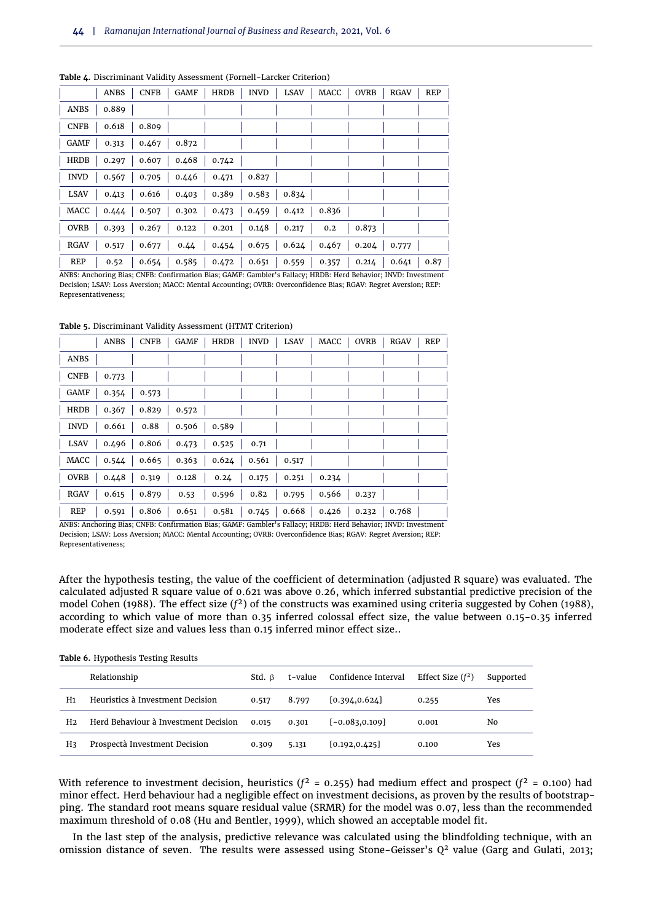|             | ANBS  | <b>CNFB</b> | GAMF  | HRDB  | INVD                | LSAV  | MACC  | OVRB  | RGAV  | REP  |
|-------------|-------|-------------|-------|-------|---------------------|-------|-------|-------|-------|------|
| ANBS        | 0.889 |             |       |       |                     |       |       |       |       |      |
| <b>CNFB</b> | 0.618 | 0.809       |       |       |                     |       |       |       |       |      |
| GAMF        | 0.313 | 0.467       | 0.872 |       |                     |       |       |       |       |      |
| HRDB        | 0.297 | 0.607       | 0.468 | 0.742 |                     |       |       |       |       |      |
| <b>INVD</b> | 0.567 | 0.705       | 0.446 | 0.471 | 0.827               |       |       |       |       |      |
| <b>LSAV</b> | 0.413 | 0.616       | 0.403 | 0.389 | 0.583               | 0.834 |       |       |       |      |
| MACC        | 0.444 | 0.507       | 0.302 | 0.473 | $\vert 0.459 \vert$ | 0.412 | 0.836 |       |       |      |
| <b>OVRB</b> | 0.393 | 0.267       | 0.122 | 0.201 | 0.148               | 0.217 | 0.2   | 0.873 |       |      |
| RGAV        | 0.517 | 0.677       | 0.44  | 0.454 | 0.675               | 0.624 | 0.467 | 0.204 | 0.777 |      |
| <b>REP</b>  | 0.52  | 0.654       | 0.585 | 0.472 | 0.651               | 0.559 | 0.357 | 0.214 | 0.641 | 0.87 |

<span id="page-7-0"></span>**Table 4.** Discriminant Validity Assessment (Fornell-Larcker Criterion)

ANBS: Anchoring Bias; CNFB: Confirmation Bias; GAMF: Gambler's Fallacy; HRDB: Herd Behavior; INVD: Investment Decision; LSAV: Loss Aversion; MACC: Mental Accounting; OVRB: Overconfidence Bias; RGAV: Regret Aversion; REP: Representativeness;

<span id="page-7-1"></span>**Table 5.** Discriminant Validity Assessment (HTMT Criterion)

|             | ANBS                                                                                    |  | $CNFB$ $GAMF$ $HRDB$ $INVD$ $LSAV$ | MACC   OVRB |       | RGAV   REP |  |
|-------------|-----------------------------------------------------------------------------------------|--|------------------------------------|-------------|-------|------------|--|
| ANBS        |                                                                                         |  |                                    |             |       |            |  |
| CNFB        | 0.773                                                                                   |  |                                    |             |       |            |  |
| GAMF        | $0.354$ 0.573                                                                           |  |                                    |             |       |            |  |
| HRDB        | $0.367$   $0.829$   $0.572$                                                             |  |                                    |             |       |            |  |
| <b>INVD</b> | $0.661$   $0.88$   $0.506$   0.589                                                      |  |                                    |             |       |            |  |
| LSAV        | 0.496   0.806   0.473   0.525   0.71                                                    |  |                                    |             |       |            |  |
| MACC        |                                                                                         |  |                                    |             |       |            |  |
| <b>OVRB</b> | $0.448$   0.319   0.128   0.24   0.175   0.251                                          |  |                                    | 0.234       |       |            |  |
| RGAV        | $0.615$   $0.879$   $0.53$                                                              |  | 0.596   0.82   0.795               | 0.566       | 0.237 |            |  |
| REP         | $0.591$   $0.806$   $0.651$   $0.581$   $0.745$   $0.668$   $0.426$   $0.232$   $0.768$ |  |                                    |             |       |            |  |

ANBS: Anchoring Bias; CNFB: Confirmation Bias; GAMF: Gambler's Fallacy; HRDB: Herd Behavior; INVD: Investment Decision; LSAV: Loss Aversion; MACC: Mental Accounting; OVRB: Overconfidence Bias; RGAV: Regret Aversion; REP: Representativeness;

After the hypothesis testing, the value of the coefficient of determination (adjusted R square) was evaluated. The calculated adjusted R square value of 0.621 was above 0.26, which inferred substantial predictive precision of the model Cohen (1988). The effect size (*f* <sup>2</sup>) of the constructs was examined using criteria suggested by Cohen (1988), according to which value of more than 0.35 inferred colossal effect size, the value between 0.15-0.35 inferred moderate effect size and values less than 0.15 inferred minor effect size..

|  |  | Table 6. Hypothesis Testing Results |
|--|--|-------------------------------------|
|--|--|-------------------------------------|

|                | Relationship                         | Std. B | t-value | Confidence Interval | Effect Size $(f^2)$ | Supported |
|----------------|--------------------------------------|--------|---------|---------------------|---------------------|-----------|
| H <sub>1</sub> | Heuristics à Investment Decision     | 0.517  | 8.797   | [0.394, 0.624]      | 0.255               | Yes       |
| H <sub>2</sub> | Herd Behaviour à Investment Decision | 0.015  | 0.301   | $[-0.083, 0.109]$   | 0.001               | No        |
| H٦             | Prospectà Investment Decision        | 0.309  | 5.131   | [0.192, 0.425]      | 0.100               | Yes       |

With reference to investment decision, heuristics ( $f^2$  = 0.255) had medium effect and prospect ( $f^2$  = 0.100) had minor effect. Herd behaviour had a negligible effect on investment decisions, as proven by the results of bootstrapping. The standard root means square residual value (SRMR) for the model was 0.07, less than the recommended maximum threshold of 0.08 [\(Hu and Bentler,](#page-10-25) [1999\)](#page-10-25), which showed an acceptable model fit.

In the last step of the analysis, predictive relevance was calculated using the blindfolding technique, with an omission distance of seven. The results were assessed using Stone-Geisser's  $Q^2$  value [\(Garg and Gulati,](#page-10-10) [2013;](#page-10-10)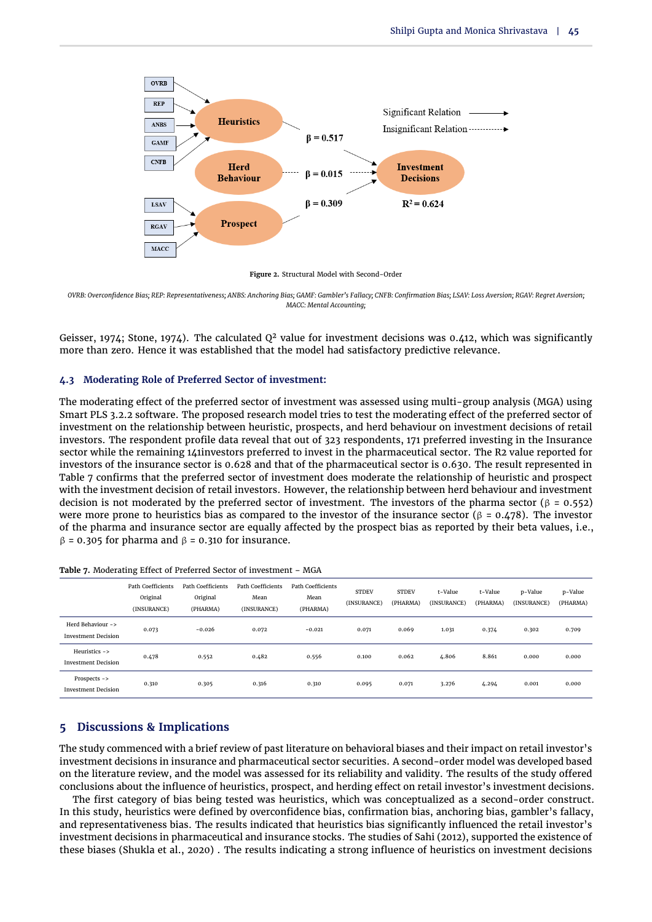

**Figure 2.** Structural Model with Second-Order

*OVRB: Overconfidence Bias; REP: Representativeness; ANBS: Anchoring Bias; GAMF: Gambler's Fallacy; CNFB: Confirmation Bias; LSAV: Loss Aversion; RGAV: Regret Aversion; MACC: Mental Accounting;*

[Geisser,](#page-10-26) [1974;](#page-10-26) [Stone,](#page-11-25) [1974\)](#page-11-25). The calculated  $Q^2$  value for investment decisions was 0.412, which was significantly more than zero. Hence it was established that the model had satisfactory predictive relevance.

#### **4.3 Moderating Role of Preferred Sector of investment:**

The moderating effect of the preferred sector of investment was assessed using multi-group analysis (MGA) using Smart PLS 3.2.2 software. The proposed research model tries to test the moderating effect of the preferred sector of investment on the relationship between heuristic, prospects, and herd behaviour on investment decisions of retail investors. The respondent profile data reveal that out of 323 respondents, 171 preferred investing in the Insurance sector while the remaining 141investors preferred to invest in the pharmaceutical sector. The R2 value reported for investors of the insurance sector is 0.628 and that of the pharmaceutical sector is 0.630. The result represented in [Table 7](#page-8-0) confirms that the preferred sector of investment does moderate the relationship of heuristic and prospect with the investment decision of retail investors. However, the relationship between herd behaviour and investment decision is not moderated by the preferred sector of investment. The investors of the pharma sector (β = 0.552) were more prone to heuristics bias as compared to the investor of the insurance sector (β = 0.478). The investor of the pharma and insurance sector are equally affected by the prospect bias as reported by their beta values, i.e.,  $β = 0.305$  for pharma and  $β = 0.310$  for insurance.

|                                                 | <b>Path Coefficients</b><br>Original<br>(INSURANCE) | Path Coefficients<br>Original<br>(PHARMA) | Path Coefficients<br>Mean<br>(INSURANCE) | Path Coefficients<br>Mean<br>(PHARMA) | <b>STDEV</b><br>(INSURANCE) | <b>STDEV</b><br>(PHARMA) | t-Value<br>(INSURANCE) | t-Value<br>(PHARMA) | p-Value<br>(INSURANCE) | p-Value<br>(PHARMA) |
|-------------------------------------------------|-----------------------------------------------------|-------------------------------------------|------------------------------------------|---------------------------------------|-----------------------------|--------------------------|------------------------|---------------------|------------------------|---------------------|
| Herd Behaviour -><br><b>Investment Decision</b> | 0.073                                               | $-0.026$                                  | 0.072                                    | $-0.021$                              | 0.071                       | 0.069                    | 1.031                  | 0.374               | 0.302                  | 0.709               |
| Heuristics -><br><b>Investment Decision</b>     | 0.478                                               | 0.552                                     | 0.482                                    | 0.556                                 | 0.100                       | 0.062                    | 4.806                  | 8.861               | 0.000                  | 0.000               |
| $Proofs ->$<br><b>Investment Decision</b>       | 0.310                                               | 0.305                                     | 0.316                                    | 0.310                                 | 0.095                       | 0.071                    | 3.276                  | 4.294               | 0.001                  | 0.000               |

<span id="page-8-0"></span>

| Table 7. Moderating Effect of Preferred Sector of investment - MGA |  |  |  |  |
|--------------------------------------------------------------------|--|--|--|--|
|                                                                    |  |  |  |  |

# **5 Discussions & Implications**

The study commenced with a brief review of past literature on behavioral biases and their impact on retail investor's investment decisions in insurance and pharmaceutical sector securities. A second-order model was developed based on the literature review, and the model was assessed for its reliability and validity. The results of the study offered conclusions about the influence of heuristics, prospect, and herding effect on retail investor's investment decisions.

The first category of bias being tested was heuristics, which was conceptualized as a second-order construct. In this study, heuristics were defined by overconfidence bias, confirmation bias, anchoring bias, gambler's fallacy, and representativeness bias. The results indicated that heuristics bias significantly influenced the retail investor's investment decisions in pharmaceutical and insurance stocks. The studies of [Sahi](#page-11-3) [\(2012\)](#page-11-3), supported the existence of these biases [\(Shukla et al.,](#page-11-5) [2020\)](#page-11-5) . The results indicating a strong influence of heuristics on investment decisions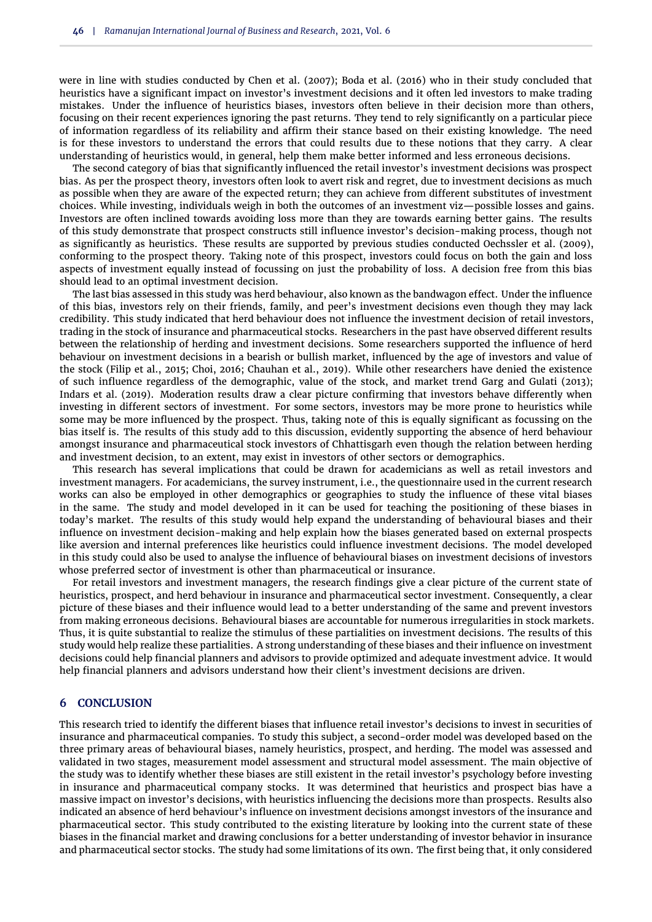were in line with studies conducted by [Chen et al.](#page-10-27) [\(2007\)](#page-10-27); [Boda et al.](#page-10-28) [\(2016\)](#page-10-28) who in their study concluded that heuristics have a significant impact on investor's investment decisions and it often led investors to make trading mistakes. Under the influence of heuristics biases, investors often believe in their decision more than others, focusing on their recent experiences ignoring the past returns. They tend to rely significantly on a particular piece of information regardless of its reliability and affirm their stance based on their existing knowledge. The need is for these investors to understand the errors that could results due to these notions that they carry. A clear understanding of heuristics would, in general, help them make better informed and less erroneous decisions.

The second category of bias that significantly influenced the retail investor's investment decisions was prospect bias. As per the prospect theory, investors often look to avert risk and regret, due to investment decisions as much as possible when they are aware of the expected return; they can achieve from different substitutes of investment choices. While investing, individuals weigh in both the outcomes of an investment viz—possible losses and gains. Investors are often inclined towards avoiding loss more than they are towards earning better gains. The results of this study demonstrate that prospect constructs still influence investor's decision-making process, though not as significantly as heuristics. These results are supported by previous studies conducted [Oechssler et al.](#page-11-26) [\(2009\)](#page-11-26), conforming to the prospect theory. Taking note of this prospect, investors could focus on both the gain and loss aspects of investment equally instead of focussing on just the probability of loss. A decision free from this bias should lead to an optimal investment decision.

The last bias assessed in this study was herd behaviour, also known as the bandwagon effect. Under the influence of this bias, investors rely on their friends, family, and peer's investment decisions even though they may lack credibility. This study indicated that herd behaviour does not influence the investment decision of retail investors, trading in the stock of insurance and pharmaceutical stocks. Researchers in the past have observed different results between the relationship of herding and investment decisions. Some researchers supported the influence of herd behaviour on investment decisions in a bearish or bullish market, influenced by the age of investors and value of the stock [\(Filip et al.,](#page-10-8) [2015;](#page-10-8) [Choi,](#page-10-29) [2016;](#page-10-29) [Chauhan et al.,](#page-10-9) [2019\)](#page-10-9). While other researchers have denied the existence of such influence regardless of the demographic, value of the stock, and market trend [Garg and Gulati](#page-10-10) [\(2013\)](#page-10-10); [Indars et al.](#page-10-11) [\(2019\)](#page-10-11). Moderation results draw a clear picture confirming that investors behave differently when investing in different sectors of investment. For some sectors, investors may be more prone to heuristics while some may be more influenced by the prospect. Thus, taking note of this is equally significant as focussing on the bias itself is. The results of this study add to this discussion, evidently supporting the absence of herd behaviour amongst insurance and pharmaceutical stock investors of Chhattisgarh even though the relation between herding and investment decision, to an extent, may exist in investors of other sectors or demographics.

This research has several implications that could be drawn for academicians as well as retail investors and investment managers. For academicians, the survey instrument, i.e., the questionnaire used in the current research works can also be employed in other demographics or geographies to study the influence of these vital biases in the same. The study and model developed in it can be used for teaching the positioning of these biases in today's market. The results of this study would help expand the understanding of behavioural biases and their influence on investment decision-making and help explain how the biases generated based on external prospects like aversion and internal preferences like heuristics could influence investment decisions. The model developed in this study could also be used to analyse the influence of behavioural biases on investment decisions of investors whose preferred sector of investment is other than pharmaceutical or insurance.

For retail investors and investment managers, the research findings give a clear picture of the current state of heuristics, prospect, and herd behaviour in insurance and pharmaceutical sector investment. Consequently, a clear picture of these biases and their influence would lead to a better understanding of the same and prevent investors from making erroneous decisions. Behavioural biases are accountable for numerous irregularities in stock markets. Thus, it is quite substantial to realize the stimulus of these partialities on investment decisions. The results of this study would help realize these partialities. A strong understanding of these biases and their influence on investment decisions could help financial planners and advisors to provide optimized and adequate investment advice. It would help financial planners and advisors understand how their client's investment decisions are driven.

## **6 CONCLUSION**

This research tried to identify the different biases that influence retail investor's decisions to invest in securities of insurance and pharmaceutical companies. To study this subject, a second-order model was developed based on the three primary areas of behavioural biases, namely heuristics, prospect, and herding. The model was assessed and validated in two stages, measurement model assessment and structural model assessment. The main objective of the study was to identify whether these biases are still existent in the retail investor's psychology before investing in insurance and pharmaceutical company stocks. It was determined that heuristics and prospect bias have a massive impact on investor's decisions, with heuristics influencing the decisions more than prospects. Results also indicated an absence of herd behaviour's influence on investment decisions amongst investors of the insurance and pharmaceutical sector. This study contributed to the existing literature by looking into the current state of these biases in the financial market and drawing conclusions for a better understanding of investor behavior in insurance and pharmaceutical sector stocks. The study had some limitations of its own. The first being that, it only considered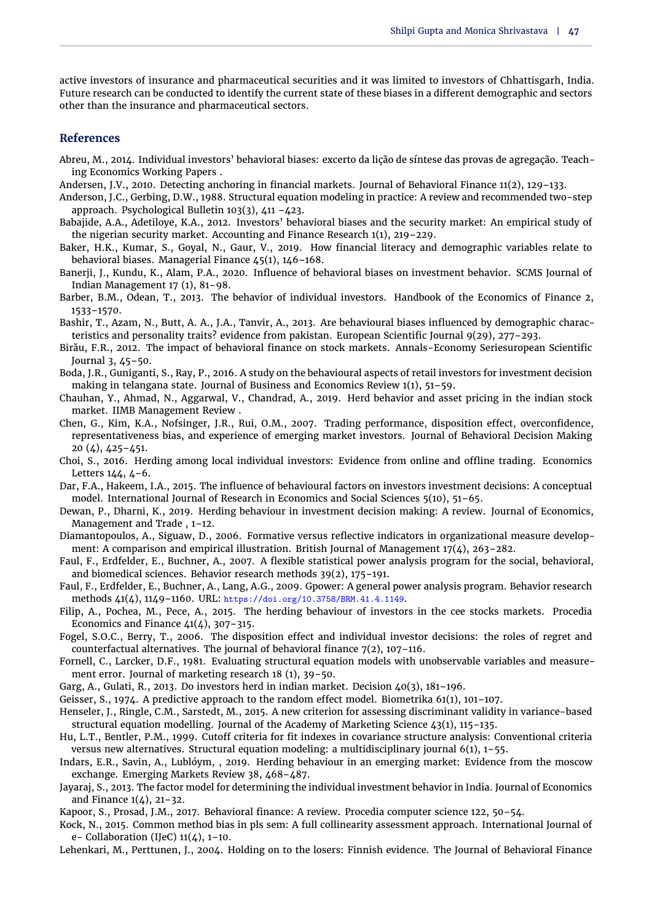active investors of insurance and pharmaceutical securities and it was limited to investors of Chhattisgarh, India. Future research can be conducted to identify the current state of these biases in a different demographic and sectors other than the insurance and pharmaceutical sectors.

## **References**

- <span id="page-10-4"></span>Abreu, M., 2014. Individual investors' behavioral biases: excerto da lição de síntese das provas de agregação. Teaching Economics Working Papers .
- <span id="page-10-5"></span>Andersen, J.V., 2010. Detecting anchoring in financial markets. Journal of Behavioral Finance 11(2), 129–133.
- <span id="page-10-20"></span>Anderson, J.C., Gerbing, D.W., 1988. Structural equation modeling in practice: A review and recommended two-step approach. Psychological Bulletin 103(3), 411 –423.
- <span id="page-10-0"></span>Babajide, A.A., Adetiloye, K.A., 2012. Investors' behavioral biases and the security market: An empirical study of the nigerian security market. Accounting and Finance Research 1(1), 219–229.
- <span id="page-10-14"></span>Baker, H.K., Kumar, S., Goyal, N., Gaur, V., 2019. How financial literacy and demographic variables relate to behavioral biases. Managerial Finance 45(1), 146–168.
- <span id="page-10-16"></span>Banerji, J., Kundu, K., Alam, P.A., 2020. Influence of behavioral biases on investment behavior. SCMS Journal of Indian Management 17 (1), 81–98.
- <span id="page-10-17"></span>Barber, B.M., Odean, T., 2013. The behavior of individual investors. Handbook of the Economics of Finance 2, 1533–1570.
- <span id="page-10-1"></span>Bashir, T., Azam, N., Butt, A. A., J.A., Tanvir, A., 2013. Are behavioural biases influenced by demographic characteristics and personality traits? evidence from pakistan. European Scientific Journal 9(29), 277–293.
- <span id="page-10-2"></span>Birău, F.R., 2012. The impact of behavioral finance on stock markets. Annals-Economy Seriesuropean Scientific Journal 3, 45–50.
- <span id="page-10-28"></span>Boda, J.R., Guniganti, S., Ray, P., 2016. A study on the behavioural aspects of retail investors for investment decision making in telangana state. Journal of Business and Economics Review 1(1), 51–59.
- <span id="page-10-9"></span>Chauhan, Y., Ahmad, N., Aggarwal, V., Chandrad, A., 2019. Herd behavior and asset pricing in the indian stock market. IIMB Management Review .
- <span id="page-10-27"></span>Chen, G., Kim, K.A., Nofsinger, J.R., Rui, O.M., 2007. Trading performance, disposition effect, overconfidence, representativeness bias, and experience of emerging market investors. Journal of Behavioral Decision Making 20 (4), 425–451.
- <span id="page-10-29"></span>Choi, S., 2016. Herding among local individual investors: Evidence from online and offline trading. Economics Letters 144, 4–6.
- <span id="page-10-15"></span>Dar, F.A., Hakeem, I.A., 2015. The influence of behavioural factors on investors investment decisions: A conceptual model. International Journal of Research in Economics and Social Sciences 5(10), 51–65.
- <span id="page-10-7"></span>Dewan, P., Dharni, K., 2019. Herding behaviour in investment decision making: A review. Journal of Economics, Management and Trade , 1–12.
- <span id="page-10-23"></span>Diamantopoulos, A., Siguaw, D., 2006. Formative versus reflective indicators in organizational measure development: A comparison and empirical illustration. British Journal of Management 17(4), 263-282.
- <span id="page-10-18"></span>Faul, F., Erdfelder, E., Buchner, A., 2007. A flexible statistical power analysis program for the social, behavioral, and biomedical sciences. Behavior research methods 39(2), 175–191.
- <span id="page-10-19"></span>Faul, F., Erdfelder, E., Buchner, A., Lang, A.G., 2009. Gpower: A general power analysis program. Behavior research methods 41(4), 1149–1160. URL: https://doi.org/10.3758/BRM.41.4.1149.
- <span id="page-10-8"></span>Filip, A., Pochea, M., Pece, A., 2015. The herding behaviour of investors in the cee stocks markets. Procedia Economics and Finance  $41(4)$ , 307-315.
- <span id="page-10-12"></span>Fogel, S.O.C., Berry, T., 2006. The disposition effect and individual investor decisions: the roles of regret and counterfactual alternatives. The journal of behavioral finance 7(2), 107–116.
- <span id="page-10-21"></span>Fornell, C., Larcker, D.F., 1981. Evaluating structural equation models with unobservable variables and measurement error. Journal of marketing research 18 (1), 39–50.
- <span id="page-10-10"></span>Garg, A., Gulati, R., 2013. Do investors herd in indian market. Decision 40(3), 181–196.
- <span id="page-10-26"></span><span id="page-10-22"></span>Geisser, S., 1974. A predictive approach to the random effect model. Biometrika 61(1), 101–107.
- Henseler, J., Ringle, C.M., Sarstedt, M., 2015. A new criterion for assessing discriminant validity in variance-based structural equation modelling. Journal of the Academy of Marketing Science 43(1), 115–135.
- <span id="page-10-25"></span>Hu, L.T., Bentler, P.M., 1999. Cutoff criteria for fit indexes in covariance structure analysis: Conventional criteria versus new alternatives. Structural equation modeling: a multidisciplinary journal 6(1), 1–55.
- <span id="page-10-11"></span>Indars, E.R., Savin, A., Lublóym, , 2019. Herding behaviour in an emerging market: Evidence from the moscow exchange. Emerging Markets Review 38, 468–487.
- <span id="page-10-6"></span>Jayaraj, S., 2013. The factor model for determining the individual investment behavior in India. Journal of Economics and Finance 1(4), 21–32.
- <span id="page-10-3"></span>Kapoor, S., Prosad, J.M., 2017. Behavioral finance: A review. Procedia computer science 122, 50–54.
- <span id="page-10-24"></span>Kock, N., 2015. Common method bias in pls sem: A full collinearity assessment approach. International Journal of e- Collaboration (IJeC)  $11(4)$ , 1-10.
- <span id="page-10-13"></span>Lehenkari, M., Perttunen, J., 2004. Holding on to the losers: Finnish evidence. The Journal of Behavioral Finance